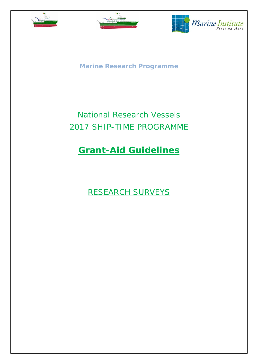





**Marine Research Programme**

# National Research Vessels 2017 SHIP-TIME PROGRAMME

# **Grant-Aid Guidelines**

RESEARCH SURVEYS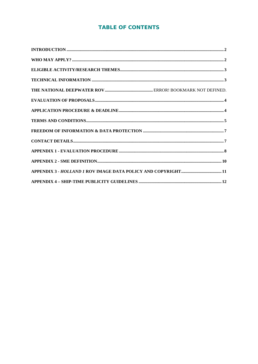## **TABLE OF CONTENTS**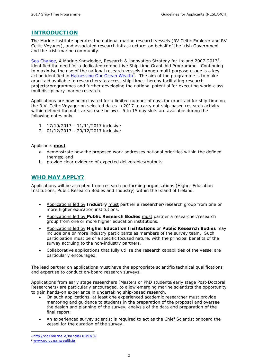## <span id="page-2-0"></span>**INTRODUCTION**

The Marine Institute operates the national marine research vessels (RV *Celtic Explorer* and RV *Celtic Voyager*), and associated research infrastructure, on behalf of the Irish Government and the Irish marine community.

[Sea Change](http://oar.marine.ie/handle/10793/69), A Marine Knowledge, Research & Innovation Strategy for Ireland 2007-20[1](#page-2-2)3<sup>1</sup>, identified the need for a dedicated competitive Ship-time Grant-Aid Programme. Continuing to maximise the use of the national research vessels through multi-purpose usage is a key action identified in *Harnessing Our Ocean Wealth<sup>[2](#page-2-3)</sup>*. The aim of the programme is to make grant-aid available to researchers to access ship-time, thereby facilitating research projects/programmes and further developing the national potential for executing world-class multidisciplinary marine research.

Applications are now being invited for a limited number of days for grant-aid for ship-time on the R.V. *Celtic Voyager* on selected dates in 2017 to carry out ship-based research activity within defined thematic areas (see below). 5 to 15 day slots are available during the following dates only:

- 1. 17/10/2017 11/11/2017 inclusive
- 2. 01/12/2017 20/12/2017 inclusive

Applicants **must**:

- a. demonstrate how the proposed work addresses national priorities within the defined themes; and
- b. provide clear evidence of expected deliverables/outputs.

## <span id="page-2-1"></span>**WHO MAY APPLY?**

Applications will be accepted from research performing organisations (Higher Education Institutions, Public Research Bodies and Industry) within the Island of Ireland.

- Applications led by **Industry** must partner a researcher/research group from one or more higher education institutions.
- Applications led by **Public Research Bodies** must partner a researcher/research group from one or more higher education institutions.
- Applications led by **Higher Education Institutions** or **Public Research Bodies** may include one or more industry participants as members of the survey team. Such participation must be of a specific focused nature, with the principal benefits of the survey accruing to the non-industry partners.
- Collaborative applications that fully utilise the research capabilities of the vessel are particularly encouraged.

The lead partner on applications must have the appropriate scientific/technical qualifications and expertise to conduct on-board research surveys.

Applications from early stage researchers (Masters or PhD students/early stage Post-Doctoral Researchers) are particularly encouraged, to allow emerging marine scientists the opportunity to gain hands-on experience in undertaking ship-based research.

- On such applications, at least one experienced academic researcher must provide mentoring and guidance to students in the preparation of the proposal and oversee the design and planning of the survey, analysis of the data and preparation of the final report;
- An experienced survey scientist is required to act as the Chief Scientist onboard the vessel for the duration of the survey.

<sup>&</sup>lt;u>.</u> <sup>1</sup> <http://oar.marine.ie/handle/10793/69>

<span id="page-2-3"></span><span id="page-2-2"></span><sup>2</sup> [www.ouroceanwealth.ie](http://www.ouroceanwealth.ie/)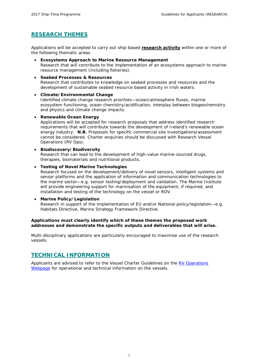## <span id="page-3-0"></span>**RESEARCH THEMES**

Applications will be accepted to carry out ship-based **research activity** within one or more of the following thematic areas:

- *Ecosystems Approach to Marine Resource Management* Research that will contribute to the implementation of an ecosystems approach to marine resource management (including fisheries).
- *Seabed Processes & Resources* Research that contributes to knowledge on seabed processes and resources and the development of sustainable seabed resource based activity in Irish waters.
- *Climate/Environmental Change* Identified climate change research priorities—ocean/atmosphere fluxes, marine ecosystem functioning, ocean chemistry/acidification, interplay between biogeochemistry and physics and climate change impacts.

• *Renewable Ocean Energy* Applications will be accepted for research proposals that address identified research requirements that will contribute towards the development of Ireland's renewable ocean energy industry. **N.B.** Proposals for specific commercial site investigations/assessment cannot be considered. Charter enquiries should be discussed with Research Vessel Operations (RV Ops).

• *Biodiscovery/Biodiversity* Research that can lead to the development of high-value marine-sourced drugs, therapies, biomaterials and nutritional products.

installation and testing of the technology on the vessel or ROV.

• *Testing of Novel Marine Technologies* Research focused on the development/delivery of novel sensors, intelligent systems and sensor platforms and the application of information and communication technologies to the marine sector—e.g. sensor testing/deployment and validation. The Marine Institute will provide engineering support for marinisation of the equipment, if required, and

#### • *Marine Policy/Legislation*

Research in support of the implementation of EU and/or National policy/legislation—e.g. Habitats Directive, Marine Strategy Framework Directive.

#### **Applications must clearly identify which of these themes the proposed work addresses and demonstrate the specific outputs and deliverables that will arise.**

Multi-disciplinary applications are particularly encouraged to maximise use of the research vessels.

## <span id="page-3-1"></span>**TECHNICAL INFORMATION**

Applicants are advised to refer to the *Vessel Charter Guidelines* on the [RV Operations](http://www.marine.ie/Home/site-area/infrastructure-facilities/research-vessels/research-vessels)  [Webpage](http://www.marine.ie/Home/site-area/infrastructure-facilities/research-vessels/research-vessels) for operational and technical information on the vessels*.*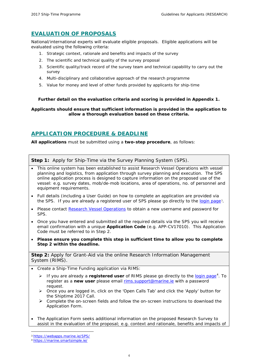## <span id="page-4-0"></span>**EVALUATION OF PROPOSALS**

National/international experts will evaluate eligible proposals. Eligible applications will be evaluated using the following criteria:

- *1. Strategic context, rationale and benefits and impacts of the survey*
- *2. The scientific and technical quality of the survey proposal*
- *3. Scientific quality/track record of the survey team and technical capability to carry out the survey*
- *4. Multi-disciplinary and collaborative approach of the research programme*
- *5. Value for money and level of other funds provided by applicants for ship-time*

#### **Further detail on the evaluation criteria and scoring is provided in Appendix 1.**

#### **Applicants should ensure that sufficient information is provided in the application to allow a thorough evaluation based on these criteria.**

## <span id="page-4-1"></span>**APPLICATION PROCEDURE & DEADLINE**

**All applications** must be submitted using a **two-step procedure**, as follows:

**Step 1:** Apply for Ship-Time via the Survey Planning System (SPS).

- This online system has been established to assist Research Vessel Operations with vessel planning and logistics, from application through survey planning and execution. The SPS online application process is designed to capture information on the proposed use of the vessel: *e.g.* survey dates, mob/de-mob locations, area of operations, no. of personnel and equipment requirements.
- Full details (including a User Guide) on how to complete an application are provided via the SPS. If you are already a registered user of SPS please go directly to the [login page](https://www.marine.ie/SPS/)<sup>[3](#page-4-2)</sup>.
- Please contact [Research Vessel Operations](mailto:rv@marine.ie) to obtain a new username and password for SPS.
- Once you have entered and submitted all the required details via the SPS you will receive email confirmation with a unique **Application Code** (*e.g.* APP-CV17010). This Application Code must be referred to in Step 2.
- **Please ensure you complete this step in sufficient time to allow you to complete Step 2 within the deadline.**

**Step 2:** Apply for Grant-Aid via the online Research Information Management System (RIMS).

- Create a Ship-Time Funding application via RIMS:
	- > If you are already a **registered user** of RIMS please go directly to the [login page](https://marine.smartsimple.ie/s_Login.jsp)<sup>[4](#page-4-3)</sup>. To register as a **new user** please email [rims.support@marine.ie](mailto:rims.support@marine.ie) with a password request.
	- Once you are logged in, click on the '*Open Calls Tab'* and click the '*Apply*' button for the Shiptime 2017 Call.
	- $\triangleright$  Complete the on-screen fields and follow the on-screen instructions to download the Application Form.
- The Application Form seeks additional information on the proposed Research Survey to assist in the evaluation of the proposal; *e.g.* context and rationale, benefits and impacts of

<u>.</u>

<span id="page-4-2"></span><sup>3</sup> https://webapps.marine.ie/SPS/

<span id="page-4-3"></span><sup>4</sup> <https://marine.smartsimple.ie/>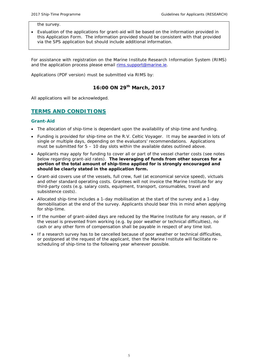the survey.

• Evaluation of the applications for grant-aid will be based on the information provided in this Application Form. The information provided should be consistent with that provided via the SPS application but should include additional information.

For assistance with registration on the Marine Institute Research Information System (RIMS) and the application process please email [rims.support@marine.ie.](mailto:rims.support@marine.ie)

Applications (PDF version) must be submitted via RIMS by:

## **16:00 ON 29th March, 2017**

All applications will be acknowledged.

## <span id="page-5-0"></span>**TERMS AND CONDITIONS**

#### *Grant-Aid*

- The allocation of ship-time is dependant upon the availability of ship-time and funding.
- Funding is provided for ship-time on the R.V. *Celtic Voyager*. It may be awarded in lots of single or multiple days, depending on the evaluators' recommendations. Applications must be submitted for  $5 - 10$  day slots within the available dates outlined above.
- Applicants may apply for funding to cover all or part of the vessel charter costs (see notes below regarding grant-aid rates). **The leveraging of funds from other sources for a portion of the total amount of ship-time applied for is strongly encouraged and should be clearly stated in the application form.**
- Grant-aid covers use of the vessels, full crew, fuel (at economical service speed), victuals and other standard operating costs. Grantees will not invoice the Marine Institute for any third-party costs (e.g. salary costs, equipment, transport, consumables, travel and subsistence costs).
- Allocated ship-time includes a 1-day mobilisation at the start of the survey and a 1-day demobilisation at the end of the survey. Applicants should bear this in mind when applying for ship-time.
- If the number of grant-aided days are reduced by the Marine Institute for any reason, or if the vessel is prevented from working (*e.g.* by poor weather or technical difficulties), no cash or any other form of compensation shall be payable in respect of any time lost.
- If a research survey has to be cancelled because of poor weather or technical difficulties, or postponed at the request of the applicant, then the Marine Institute will facilitate rescheduling of ship-time to the following year wherever possible.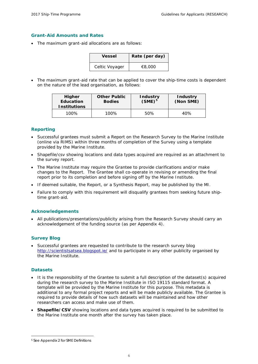#### *Grant-Aid Amounts and Rates*

• The maximum grant-aid allocations are as follows:

| Vessel         | Rate (per day) |
|----------------|----------------|
| Celtic Voyager | €8,000         |

• The maximum grant-aid rate that can be applied to cover the ship-time costs is dependent on the nature of the lead organisation, as follows:

| Higher<br><b>Education</b><br><b>Institutions</b> | <b>Other Public</b><br><b>Bodies</b> | <b>Industry</b><br>$(SME)^5$ | <b>Industry</b><br>(Non SME) |
|---------------------------------------------------|--------------------------------------|------------------------------|------------------------------|
| 100%                                              | 100%                                 | 50%                          | 40%                          |

#### *Reporting*

- Successful grantees must submit a Report on the Research Survey to the Marine Institute (online via RIMS) within three months of completion of the Survey using a template provided by the Marine Institute.
- Shapefile/csv showing locations and data types acquired are required as an attachment to the survey report.
- The Marine Institute may require the Grantee to provide clarifications and/or make changes to the Report. The Grantee shall co-operate in revising or amending the final report prior to its completion and before signing off by the Marine Institute.
- If deemed suitable, the Report, or a Synthesis Report, may be published by the MI.
- Failure to comply with this requirement will disqualify grantees from seeking future shiptime grant-aid.

#### *Acknowledgements*

• All publications/presentations/publicity arising from the Research Survey should carry an acknowledgement of the funding source (as per Appendix 4).

#### *Survey Blog*

• Successful grantees are requested to contribute to the research survey blog <http://scientistsatsea.blogspot.ie/> and to participate in any other publicity organised by the Marine Institute.

#### *Datasets*

<u>.</u>

- It is the responsibility of the Grantee to submit a full description of the dataset(s) acquired during the research survey to the Marine Institute in ISO 19115 standard format. A template will be provided by the Marine Institute for this purpose. This metadata is additional to any formal project reports and will be made publicly available. The Grantee is required to provide details of how such datasets will be maintained and how other researchers can access and make use of them.
- **Shapefile/CSV** showing locations and data types acquired is required to be submitted to the Marine Institute one month after the survey has taken place.

<span id="page-6-0"></span><sup>5</sup> See Appendix 2 for SME Definitions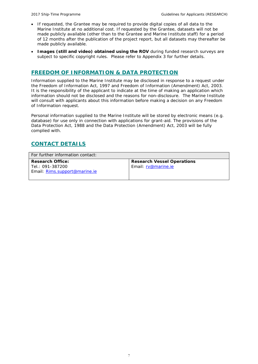- If requested, the Grantee may be required to provide digital copies of all data to the Marine Institute at no additional cost. If requested by the Grantee, datasets will not be made publicly available (other than to the Grantee and Marine Institute staff) for a period of 12 months after the publication of the project report, but all datasets may thereafter be made publicly available.
- **Images (still and video) obtained using the ROV** during funded research surveys are subject to specific copyright rules. Please refer to Appendix 3 for further details.

### <span id="page-7-0"></span>**FREEDOM OF INFORMATION & DATA PROTECTION**

Information supplied to the Marine Institute may be disclosed in response to a request under the Freedom of Information Act, 1997 and Freedom of Information (Amendment) Act, 2003. It is the responsibility of the applicant to indicate at the time of making an application which information should not be disclosed and the reasons for non-disclosure. The Marine Institute will consult with applicants about this information before making a decision on any Freedom of Information request.

Personal information supplied to the Marine Institute will be stored by electronic means (e.g. database) for use only in connection with applications for grant-aid. The provisions of the Data Protection Act, 1988 and the Data Protection (Amendment) Act, 2003 will be fully complied with.

## <span id="page-7-1"></span>**CONTACT DETAILS**

| For further information contact: |                                   |  |  |  |
|----------------------------------|-----------------------------------|--|--|--|
| <b>Research Office:</b>          | <b>Research Vessel Operations</b> |  |  |  |
| Tel.: 091-387200                 | Email: rv@marine.ie               |  |  |  |
| Email: Rims.support@marine.ie    |                                   |  |  |  |
|                                  |                                   |  |  |  |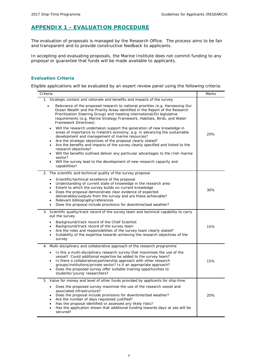## <span id="page-8-0"></span>**APPENDIX 1 - EVALUATION PROCEDURE**

The evaluation of proposals is managed by the Research Office. The process aims to be fair and transparent and to provide constructive feedback to applicants.

In accepting and evaluating proposals, the Marine Institute does not commit funding to any proposal or guarantee that funds will be made available to applicants.

#### *Evaluation Criteria*

Eligible applications will be evaluated by an expert review panel using the following criteria:

| Criteria                                                                                                                                                                                                                                                                                                                                                                                                                                                                                                                                                                                                                        | <b>Marks</b> |
|---------------------------------------------------------------------------------------------------------------------------------------------------------------------------------------------------------------------------------------------------------------------------------------------------------------------------------------------------------------------------------------------------------------------------------------------------------------------------------------------------------------------------------------------------------------------------------------------------------------------------------|--------------|
| 1. Strategic context and rationale and benefits and impacts of the survey                                                                                                                                                                                                                                                                                                                                                                                                                                                                                                                                                       |              |
| Relevance of the proposed research to national priorities (e.g. <i>Harnessing Our</i><br>Ocean Wealth and the Priority Areas identified in the Report of the Research<br>Prioritisation Steering Group) and meeting international/EU legislative<br>requirements (e.g. Marine Strategy Framework, Habitats, Birds, and Water<br>Framework Directives).                                                                                                                                                                                                                                                                          |              |
| Will the research undertaken support the generation of new knowledge in<br>$\bullet$<br>areas of importance to Ireland's economy, e.g. in advancing the sustainable<br>development and management of marine resources?<br>Are the strategic objectives of the proposal clearly stated?<br>$\bullet$<br>Are the benefits and impacts of the survey clearly specified and linked to the<br>$\bullet$<br>research objectives?<br>Will the benefits outlined deliver any particular advantages to the Irish marine<br>sector?<br>Will the survey lead to the development of new research capacity and<br>$\bullet$<br>capabilities? | 20%          |
| The scientific and technical quality of the survey proposal<br>2.                                                                                                                                                                                                                                                                                                                                                                                                                                                                                                                                                               |              |
| Scientific/technical excellence of the proposal<br>$\bullet$<br>Understanding of current state of knowledge in the research area<br>$\bullet$<br>Extent to which the survey builds on current knowledge<br>$\bullet$<br>Does the proposal demonstrate clear evidence of expected<br>$\bullet$<br>deliverables/outputs from the survey and are these achievable?<br>Relevant bibliography/references<br>٠<br>Does the proposal include provisions for downtime/bad weather?                                                                                                                                                      | 30%          |
| 3. Scientific quality/track record of the survey team and technical capability to carry<br>out the survey                                                                                                                                                                                                                                                                                                                                                                                                                                                                                                                       |              |
| Background/track record of the Chief Scientist<br>$\bullet$<br>Background/track record of the survey team<br>Are the roles and responsibilities of the survey team clearly stated?<br>Suitability of the expertise towards achieving the research objectives of the<br>survey                                                                                                                                                                                                                                                                                                                                                   | 15%          |
| 4. Multi-disciplinary and collaborative approach of the research programme                                                                                                                                                                                                                                                                                                                                                                                                                                                                                                                                                      |              |
| Is this a multi-disciplinary research survey that maximises the use of the<br>$\bullet$<br>vessel? Could additional expertise be added to the survey team?<br>Is there a collaborative/partnership approach with other research<br>$\bullet$<br>groups/institutions/private sector? Is it an appropriate approach?<br>Does the proposed survey offer suitable training opportunities to<br>students/'young' researchers?                                                                                                                                                                                                        | 15%          |
| 5. Value for money and level of other funds provided by applicants for ship-time                                                                                                                                                                                                                                                                                                                                                                                                                                                                                                                                                |              |
| Does the proposed survey maximise the use of the research vessel and<br>associated infrastructure?<br>Does the proposal include provisions for downtime/bad weather?<br>Are the number of days requested justified?<br>٠<br>Has the proposal identified or assessed any likely risks?<br>Has the application shown that additional funding towards days at sea will be<br>secured?                                                                                                                                                                                                                                              | 20%          |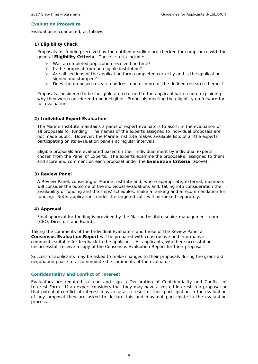#### *Evaluation Procedure*

Evaluation is conducted, as follows:

#### *1) Eligibility Check*

Proposals for funding received by the notified deadline are checked for compliance with the general **Eligibility Criteria**. These criteria include:

- $\triangleright$  Was a completed application received on time?
- $\triangleright$  Is the proposal from an eligible institution?
- $\triangleright$  Are all sections of the application form completed correctly and is the application signed and stamped?
- ▶ Does the proposed research address one or more of the defined research themes?

Proposals considered to be ineligible are returned to the applicant with a note explaining why they were considered to be ineligible. Proposals meeting the eligibility go forward for full evaluation.

#### *2) Individual Expert Evaluation*

The Marine Institute maintains a panel of expert evaluators to assist in the evaluation of all proposals for funding. The names of the experts assigned to individual proposals are not made public. However, the Marine Institute makes available lists of all the experts participating on its evaluation panels at regular intervals.

Eligible proposals are evaluated based on their individual merit by individual experts chosen from the Panel of Experts. The experts examine the proposal(s) assigned to them and score and comment on each proposal under the **Evaluation Criteria** (above).

#### *3) Review Panel*

A Review Panel, consisting of Marine Institute and, where appropriate, external, members will consider the outcome of the individual evaluations and, taking into consideration the availability of funding and the ships' schedules, make a ranking and a recommendation for funding. Note: applications under the targeted calls will be ranked separately.

#### *4) Approval*

Final approval for funding is provided by the Marine Institute senior management team (CEO, Directors and Board).

Taking the comments of the Individual Evaluators and those of the Review Panel a **Consensus Evaluation Report** will be prepared with constructive and informative comments suitable for feedback to the applicant. All applicants, whether successful or unsuccessful, receive a copy of the Consensus Evaluation Report for their proposal.

Successful applicants may be asked to make changes to their proposals during the grant-aid negotiation phase to accommodate the comments of the evaluators.

#### *Confidentiality and Conflict of Interest*

Evaluators are required to read and sign a Declaration of Confidentiality and Conflict of Interest Form. If an expert considers that they may have a vested interest in a proposal or that potential conflict of interest may arise as a result of their participation in the evaluation of any proposal they are asked to declare this and may not participate in the evaluation process.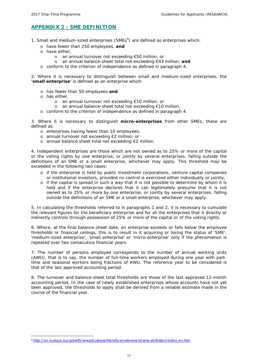## <span id="page-10-0"></span>**APPENDIX 2 - SME DEFINITION**

- 1. Small and medium-sized enterprises (SMEs $<sup>6</sup>$  $<sup>6</sup>$  $<sup>6</sup>$ ) are defined as enterprises which:</sup>
	- o have fewer than 250 employees, **and**
	- o have either,
		- o an annual turnover not exceeding €50 million, or
		- o an annual balance-sheet total not exceeding €43 million, **and**
	- o conform to the criterion of independence as defined in paragraph 4.

2. Where it is necessary to distinguish between small and medium-sized enterprises, the **'small enterprise'** is defined as an enterprise which:

- o has fewer than 50 employees **and**
- o has either,

<u>.</u>

- o an annual turnover not exceeding €10 million, or
- o an annual balance-sheet total not exceeding €10 million,
- o conform to the criterion of independence as defined in paragraph 4.

3. Where it is necessary to distinguish **micro-enterprises** from other SMEs, these are defined as:

- o enterprises having fewer than 10 employees;
- o annual turnover not exceeding €2 million; or
- o annual balance sheet total not exceeding €2 million.

4. Independent enterprises are those which are not owned as to 25% or more of the capital or the voting rights by one enterprise, or jointly by several enterprises, falling outside the definitions of an SME or a small enterprise, whichever may apply. This threshold may be exceeded in the following two cases:

- o if the enterprise is held by public investment corporations, venture capital companies or institutional investors, provided no control is exercised either individually or jointly,
- o if the capital is spread in such a way that it is not possible to determine by whom it is held and if the enterprise declares that it can legitimately presume that it is not owned as to 25% or more by one enterprise, or jointly by several enterprises, falling outside the definitions of an SME or a small enterprise, whichever may apply.

5. In calculating the thresholds referred to in paragraphs 1 and 2, it is necessary to cumulate the relevant figures for the beneficiary enterprise and for all the enterprises that it directly or indirectly controls through possession of 25% or more of the capital or of the voting rights.

6. Where, at the final balance-sheet date, an enterprise exceeds or falls below the employee thresholds or financial ceilings, this is to result in it acquiring or losing the status of 'SME', 'medium-sized enterprise', 'small enterprise' or 'micro-enterprise' only if the phenomenon is repeated over two consecutive financial years.

7. The number of persons employed corresponds to the number of annual working units (AWU), that is to say, the number of full-time workers employed during one year with parttime and seasonal workers being fractions of AWU. The reference year to be considered is that of the last approved accounting period.

8. The turnover and balance-sheet total thresholds are those of the last approved 12-month accounting period. In the case of newly established enterprises whose accounts have not yet been approved, the thresholds to apply shall be derived from a reliable estimate made in the course of the financial year.

<span id="page-10-1"></span><sup>6</sup> [http://ec.europa.eu/growth/smes/business-friendly-environment/sme-definition/index\\_en.htm](http://ec.europa.eu/growth/smes/business-friendly-environment/sme-definition/index_en.htm)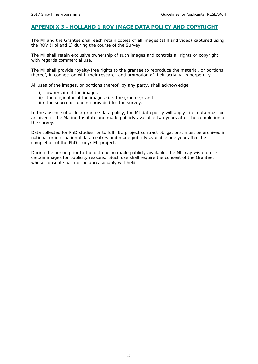### <span id="page-11-0"></span>**APPENDIX 3 -** *HOLLAND 1* **ROV IMAGE DATA POLICY AND COPYRIGHT**

The MI and the Grantee shall each retain copies of all images (still and video) captured using the ROV (Holland 1) during the course of the Survey.

The MI shall retain exclusive ownership of such images and controls all rights or copyright with regards commercial use.

The MI shall provide royalty-free rights to the grantee to reproduce the material, or portions thereof, in connection with their research and promotion of their activity, in perpetuity.

All uses of the images, or portions thereof, by any party, shall acknowledge:

- i) ownership of the images
- ii) the originator of the images (i.e. the grantee); and
- iii) the source of funding provided for the survey.

In the absence of a clear grantee data policy, the MI data policy will apply—*i.e.* data must be archived in the Marine Institute and made publicly available two years after the completion of the survey.

Data collected for PhD studies, or to fulfil EU project contract obligations, must be archived in national or international data centres and made publicly available one year after the completion of the PhD study/ EU project.

During the period prior to the data being made publicly available, the MI may wish to use certain images for publicity reasons. Such use shall require the consent of the Grantee, whose consent shall not be unreasonably withheld.